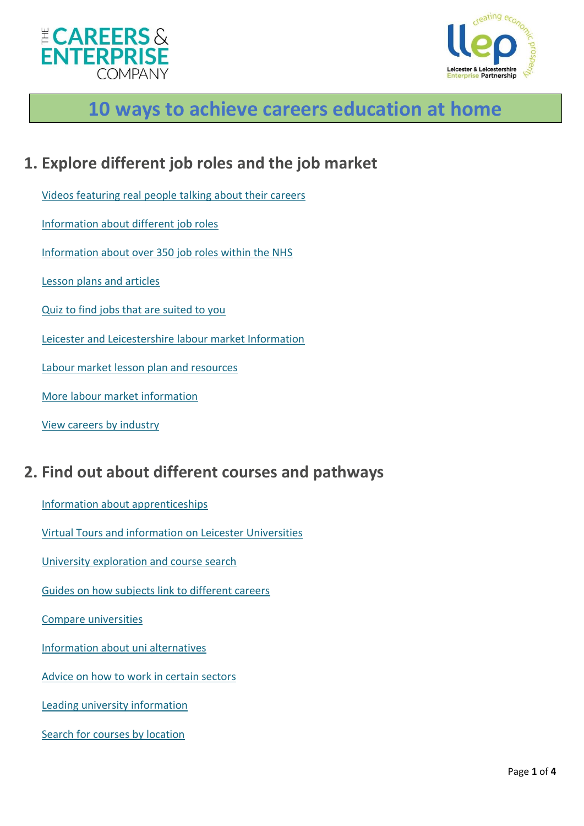



# **10 ways to achieve careers education at home**

### **1. Explore different job roles and the job market**

[Videos featuring real people talking about their careers](https://icould.com/)

[Information about different job roles](https://guest.startprofile.com/world-of-work/explore/industries)

[Information about over 350](https://www.healthcareers.nhs.uk/explore-roles) job roles within the NHS

[Lesson plans and articles](https://www.myworldofwork.co.uk/partner-resources)

[Quiz to find jobs that are suited to you](https://www.ucas.com/careers/buzz-quiz)

[Leicester and Leicestershire labour market Information](https://www.llep.org.uk/investing-in-our-people/choosing-a-career/guide-to-the-local-labour-market/)

[Labour market lesson plan and resources](https://www.llep.org.uk/investing-in-our-people/choosing-a-career/guide-to-the-local-labour-market/)

[More labour market information](http://www.lmiforall.org.uk/explore_lmi)

[View careers by industry](https://www.how2become.com/careers/)

### **2. Find out about different courses and pathways**

[Information about apprenticeships](http://www.apprenticeships.gov.uk/)

[Virtual Tours and information](https://www.pathwaystohe.ac.uk/) on Leicester Universities

[University exploration and course search](https://www.ucas.com/)

[Guides on how subjects link to different careers](https://successatschool.org/advicedetails/1221/coronavirus-gatbsy-subject-guides-free-to-access-from-home?utm_source=Success+at+School+-+Newsletter+Signups&utm_campaign=7e0d5a0af4-EMAIL_CAMPAIGN_2020_03_18_12_44&utm_medium=email&utm_term=0_65c6d67e71-7e0d5a0af4-212054963&goal=0_65c6d67e71-7e0d5a0af4-212054963&mc_cid=7e0d5a0af4&mc_eid=1d43f262bb)

[Compare universities](https://discoveruni.gov.uk/)

[Information about uni alternatives](https://www.notgoingtouni.co.uk/)

[Advice on how to work in certain sectors](https://www.how2become.com/)

[Leading university information](https://www.russellgroup.ac.uk/)

[Search for courses by location](https://guest.startprofile.com/options/where-could-i-learn)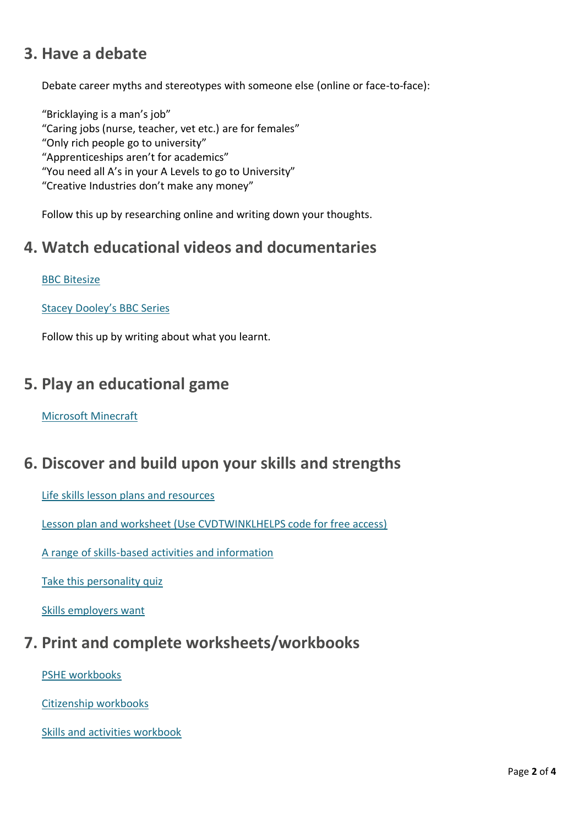# **3. Have a debate**

Debate career myths and stereotypes with someone else (online or face-to-face):

"Bricklaying is a man's job" "Caring jobs (nurse, teacher, vet etc.) are for females" "Only rich people go to university" "Apprenticeships aren't for academics" "You need all A's in your A Levels to go to University" "Creative Industries don't make any money"

Follow this up by researching online and writing down your thoughts.

### **4. Watch educational videos and documentaries**

#### BBC [Bitesize](https://www.bbc.co.uk/bitesize)

[Stacey Dooley](https://www.bbc.co.uk/iplayer/episodes/p06zhf9j/the-nine-to-five-with-stacey-dooley)'s BBC Series

Follow this up by writing about what you learnt.

### **5. Play an educational game**

#### [Microsoft Minecraft](https://education.minecraft.net/blog/microsoft-extends-access-to-minecraft-education-edition-and-resources-to-support-remote-learning/)

### **6. Discover and build upon your skills and strengths**

[Life skills lesson plans and resources](https://barclayslifeskills.com/)

[Lesson plan and worksheet \(Use CVDTWINKLHELPS code for free access\)](https://www.twinkl.co.uk/resource/t3-p-92-my-skills-and-qualities-lesson-pack)

[A range of skills-based activities and information](https://hub.skillsbuilder.org/)

[Take this personality quiz](https://icould.com/buzz-quiz)

[Skills employers want](https://www.ucas.com/careers/getting-job/what-are-employers-looking)

# **7. Print and complete worksheets/workbooks**

[PSHE workbooks](https://www.tes.com/teaching-resource/pshe-home-learning-pack-12268315)

[Citizenship workbooks](https://www.tes.com/teaching-resource/citizenship-home-learning-pack-12268323)

[Skills and activities workbook](https://www.youthemployment.org.uk/free-skills-careers-activities-booklet-for-young-people)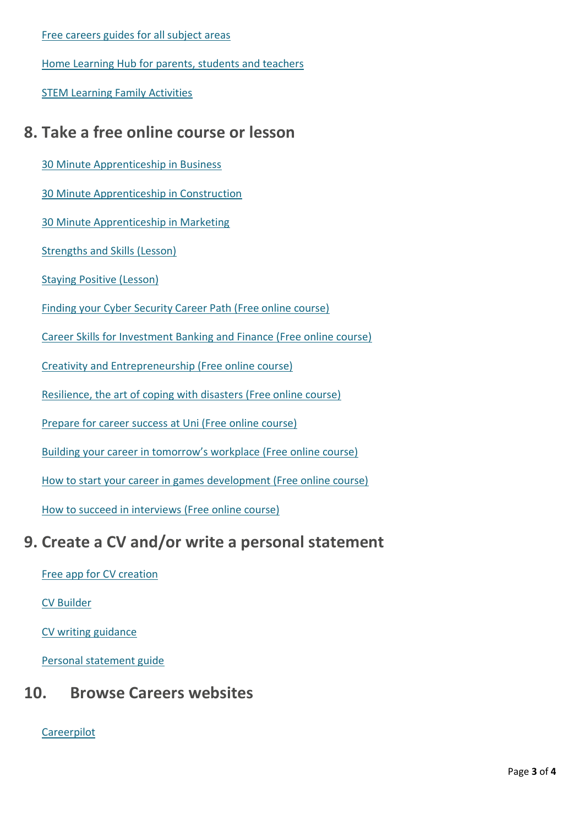[Free careers guides for all subject areas](https://successatschool.org/advicedetails/1221/coronavirus-gatbsy-subject-guides-free-to-access-from-home?utm_source=Success+at+School+-+Newsletter+Signups&utm_campaign=7e0d5a0af4-EMAIL_CAMPAIGN_2020_03_18_12_44&utm_medium=email&utm_term=0_65c6d67e71-7e0d5)

Home Learning Hub [for parents, students and teachers](http://www.skillsbuilder.org/homelearning)

STEM [Learning Family Activities](https://www.stem.org.uk/home-learning/family-activities)

## **8. Take a free online course or lesson**

[30 Minute Apprenticeship in Business](https://hub.skillsbuilder.org/resources/30-minute-apprenticeship-business)

[30 Minute Apprenticeship in Construction](https://hub.skillsbuilder.org/resources/30-minute-apprenticeship-construction)

[30 Minute Apprenticeship in Marketing](https://hub.skillsbuilder.org/resources/30-minute-apprenticeship-marketing)

[Strengths and Skills \(Lesson\)](https://hub.skillsbuilder.org/resources/mapping-strengths)

[Staying Positive \(Lesson\)](https://hub.skillsbuilder.org/resources/getting-job)

[Finding your Cyber Security Career Path \(Free online course\)](https://www.edx.org/course/finding-your-cybersecurity-career-path)

[Career Skills for Investment Banking and Finance \(Free online course\)](https://www.edx.org/course/essential-career-skills-for-investment-banking-and)

[Creativity and Entrepreneurship \(Free online course\)](https://www.edx.org/course/creativity-entrepreneurship)

[Resilience, the art of coping with disasters \(Free online course\)](https://www.edx.org/course/resilience-the-art-of-coping-with-disasters)

[Prepare for career success at Uni \(Free online course\)](https://www.futurelearn.com/courses/career-success)

[Building your career in tomorrow's workplace \(Free online course\)](https://www.futurelearn.com/courses/creating-your-future)

[How to start your career in games development \(Free online course\)](https://www.futurelearn.com/courses/how-to-start-your-career-in-games-development)

[How to succeed in interviews \(Free online course\)](https://www.futurelearn.com/courses/interviews)

### **9. Create a CV and/or write a personal statement**

[Free app for CV creation](https://fledglink.com/)

[CV Builder](https://barclayslifeskills.com/i-want-to-use-my-online-presence-to-get-ahead/school/cv-builder)

[CV writing guidance](https://www.prospects.ac.uk/careers-advice/cvs-and-cover-letters/how-to-write-a-cv)

[Personal statement guide](https://www.ucas.com/undergraduate/applying-university/how-write-ucas-undergraduate-personal-statement)

### **10. Browse Careers websites**

**[Careerpilot](https://www.careerpilot.org.uk/)**